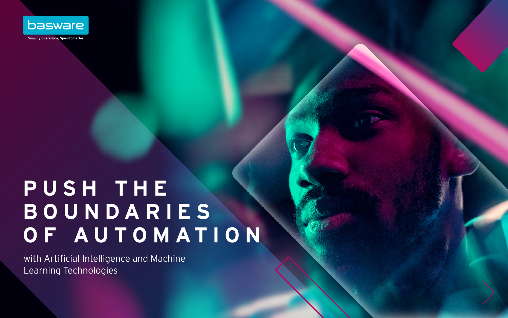

# **P U S H T H E B O U N D A R I E S OF AUTOMATION**

with Artificial Intelligence and Machine Learning Technologies

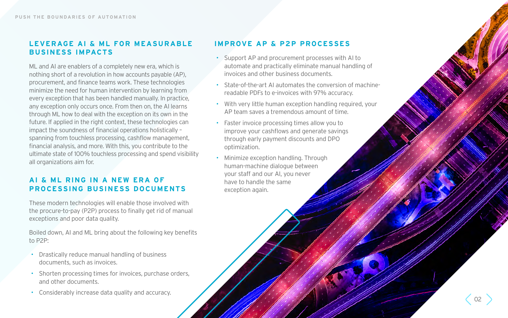#### **LEVERAGE AI & ML FOR MEASURABLE BUSINESS IMPACTS**

ML and AI are enablers of a completely new era, which is nothing short of a revolution in how accounts payable (AP), procurement, and finance teams work. These technologies minimize the need for human intervention by learning from every exception that has been handled manually. In practice, any exception only occurs once. From then on, the AI learns through ML how to deal with the exception on its own in the future. If applied in the right context, these technologies can impact the soundness of financial operations holistically – spanning from touchless processing, cashflow management, financial analysis, and more. With this, you contribute to the ultimate state of 100% touchless processing and spend visibility all organizations aim for.

#### **AI & ML RING IN A NEW ERA OF PROCESSING BUSINESS DOCUMENTS**

These modern technologies will enable those involved with the procure-to-pay (P2P) process to finally get rid of manual exceptions and poor data quality.

Boiled down, AI and ML bring about the following key benefits to P2P:

- Drastically reduce manual handling of business documents, such as invoices.
- Shorten processing times for invoices, purchase orders, and other documents.
- Considerably increase data quality and accuracy.

### **IMPROVE AP & P2P PROCESSES**

- Support AP and procurement processes with AI to automate and practically eliminate manual handling of invoices and other business documents.
- State-of-the-art AI automates the conversion of machinereadable PDFs to e-invoices with 97% accuracy.
- With very little human exception handling required, your AP team saves a tremendous amount of time.
- Faster invoice processing times allow you to improve your cashflows and generate savings through early payment discounts and DPO optimization.
- Minimize exception handling. Through human-machine dialogue between your staff and our AI, you never have to handle the same exception again.

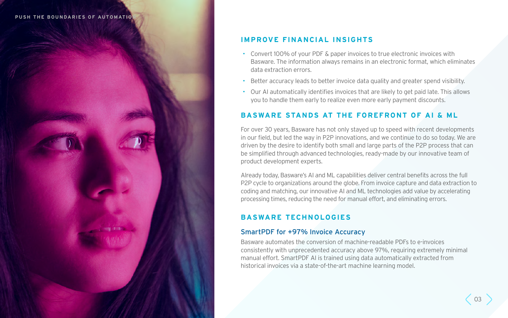#### **PUSH THE BOUNDARIES OF AUTOMATION**

### **IMPROVE FINANCIAL INSIGHTS**

Basware. The information always remains in an electronic format, which eliminates

- Convert 100% of your PDF & paper invoices to true electronic invoices with data extraction errors.
- Better accuracy leads to better invoice data quality and greater spend visibility.
- Our AI automatically identifies invoices that are likely to get paid late. This allows you to handle them early to realize even more early payment discounts.

#### **BASWARE STANDS AT THE FOREFRONT OF AI & ML**

For over 30 years, Basware has not only stayed up to speed with recent developments in our field, but led the way in P2P innovations, and we continue to do so today. We are driven by the desire to identify both small and large parts of the P2P process that can be simplified through advanced technologies, ready-made by our innovative team of product development experts.

Already today, Basware's AI and ML capabilities deliver central benefits across the full P2P cycle to organizations around the globe. From invoice capture and data extraction to coding and matching, our innovative AI and ML technologies add value by accelerating processing times, reducing the need for manual effort, and eliminating errors.

#### **BASWARE TECHNOLOGIES**

#### SmartPDF for +97% Invoice Accuracy

Basware automates the conversion of machine-readable PDFs to e-invoices consistently with unprecedented accuracy above 97%, requiring extremely minimal manual effort. SmartPDF AI is trained using data automatically extracted from historical invoices via a state-of-the-art machine learning model.

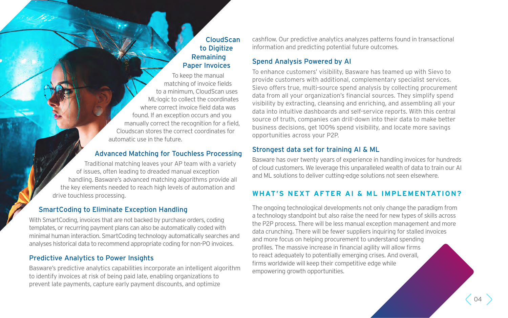#### **CloudScan** to Digitize Remaining Paper Invoices

To keep the manual matching of invoice fields to a minimum, CloudScan uses ML-logic to collect the coordinates where correct invoice field data was found. If an exception occurs and you manually correct the recognition for a field, Cloudscan stores the correct coordinates for automatic use in the future.

#### Advanced Matching for Touchless Processing

Traditional matching leaves your AP team with a variety of issues, often leading to dreaded manual exception handling. Basware's advanced matching algorithms provide all the key elements needed to reach high levels of automation and drive touchless processing.

#### SmartCoding to Eliminate Exception Handling

With SmartCoding, invoices that are not backed by purchase orders, coding templates, or recurring payment plans can also be automatically coded with minimal human interaction. SmartCoding technology automatically searches and analyses historical data to recommend appropriate coding for non-PO invoices.

#### Predictive Analytics to Power Insights

Basware's predictive analytics capabilities incorporate an intelligent algorithm to identify invoices at risk of being paid late, enabling organizations to prevent late payments, capture early payment discounts, and optimize

cashflow. Our predictive analytics analyzes patterns found in transactional information and predicting potential future outcomes.

#### Spend Analysis Powered by AI

To enhance customers' visibility, Basware has teamed up with Sievo to provide customers with additional, complementary specialist services. Sievo offers true, multi-source spend analysis by collecting procurement data from all your organization's financial sources. They simplify spend visibility by extracting, cleansing and enriching, and assembling all your data into intuitive dashboards and self-service reports. With this central source of truth, companies can drill-down into their data to make better business decisions, get 100% spend visibility, and locate more savings opportunities across your P2P.

#### Strongest data set for training AI & ML

Basware has over twenty years of experience in handling invoices for hundreds of cloud customers. We leverage this unparalleled wealth of data to train our AI and ML solutions to deliver cutting-edge solutions not seen elsewhere.

### **WHAT'S NEXT AFTER AI & ML IMPLEMENTATION?**

The ongoing technological developments not only change the paradigm from a technology standpoint but also raise the need for new types of skills across the P2P process. There will be less manual exception management and more data crunching. There will be fewer suppliers inquiring for stalled invoices and more focus on helping procurement to understand spending profiles. The massive increase in financial agility will allow firms to react adequately to potentially emerging crises. And overall, firms worldwide will keep their competitive edge while empowering growth opportunities.

04